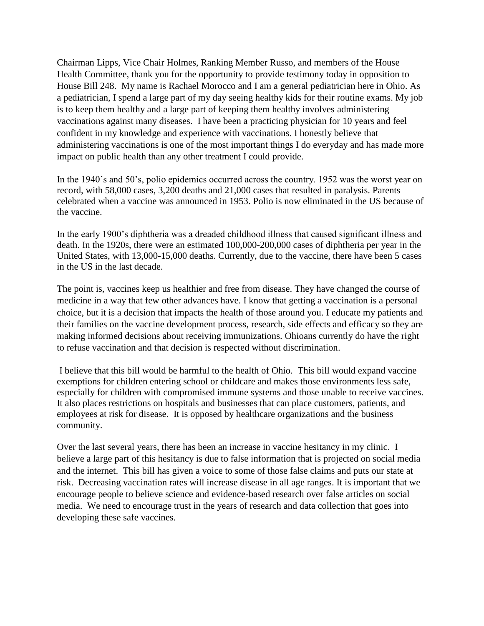Chairman Lipps, Vice Chair Holmes, Ranking Member Russo, and members of the House Health Committee, thank you for the opportunity to provide testimony today in opposition to House Bill 248. My name is Rachael Morocco and I am a general pediatrician here in Ohio. As a pediatrician, I spend a large part of my day seeing healthy kids for their routine exams. My job is to keep them healthy and a large part of keeping them healthy involves administering vaccinations against many diseases. I have been a practicing physician for 10 years and feel confident in my knowledge and experience with vaccinations. I honestly believe that administering vaccinations is one of the most important things I do everyday and has made more impact on public health than any other treatment I could provide.

In the 1940's and 50's, polio epidemics occurred across the country. 1952 was the worst year on record, with 58,000 cases, 3,200 deaths and 21,000 cases that resulted in paralysis. Parents celebrated when a vaccine was announced in 1953. Polio is now eliminated in the US because of the vaccine.

In the early 1900's diphtheria was a dreaded childhood illness that caused significant illness and death. In the 1920s, there were an estimated 100,000-200,000 cases of diphtheria per year in the United States, with 13,000-15,000 deaths. Currently, due to the vaccine, there have been 5 cases in the US in the last decade.

The point is, vaccines keep us healthier and free from disease. They have changed the course of medicine in a way that few other advances have. I know that getting a vaccination is a personal choice, but it is a decision that impacts the health of those around you. I educate my patients and their families on the vaccine development process, research, side effects and efficacy so they are making informed decisions about receiving immunizations. Ohioans currently do have the right to refuse vaccination and that decision is respected without discrimination.

I believe that this bill would be harmful to the health of Ohio. This bill would expand vaccine exemptions for children entering school or childcare and makes those environments less safe, especially for children with compromised immune systems and those unable to receive vaccines. It also places restrictions on hospitals and businesses that can place customers, patients, and employees at risk for disease. It is opposed by healthcare organizations and the business community.

Over the last several years, there has been an increase in vaccine hesitancy in my clinic. I believe a large part of this hesitancy is due to false information that is projected on social media and the internet. This bill has given a voice to some of those false claims and puts our state at risk. Decreasing vaccination rates will increase disease in all age ranges. It is important that we encourage people to believe science and evidence-based research over false articles on social media. We need to encourage trust in the years of research and data collection that goes into developing these safe vaccines.